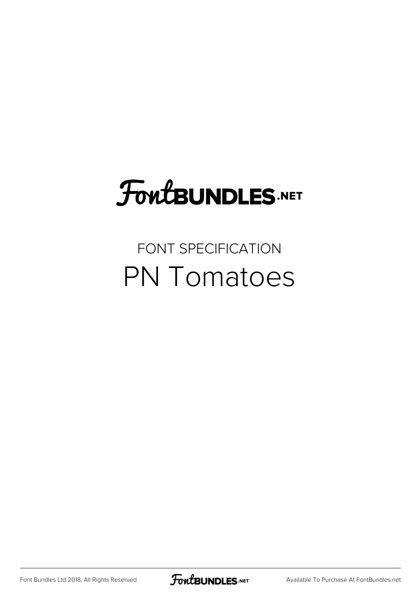# **FoutBUNDLES.NET**

#### FONT SPECIFICATION PN Tomatoes

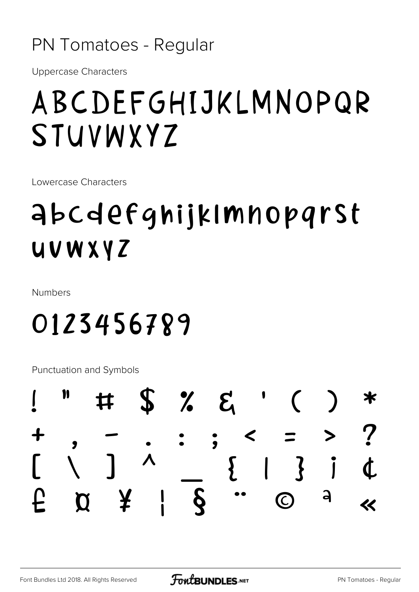#### PN Tomatoes - Regular

**Uppercase Characters** 

## ABCDEFGHIJKLMNOPQR STUVWXYZ

Lowercase Characters

### **abcdefghijkImnoparst** UVWXYZ

**Numbers** 

#### 0123456789

Punctuation and Symbols

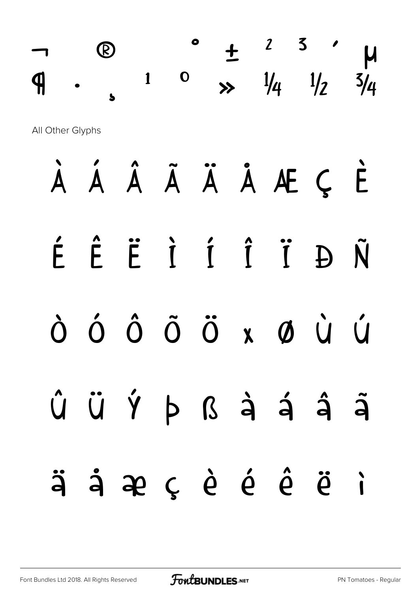|                  |  |                    |                        |             |                     |              | $\frac{1}{4}$            | $\frac{1}{2}$ |   |  |  |  |
|------------------|--|--------------------|------------------------|-------------|---------------------|--------------|--------------------------|---------------|---|--|--|--|
| All Other Glyphs |  |                    |                        |             |                     |              |                          |               |   |  |  |  |
|                  |  |                    | $\hat{\mathsf{A}}$     |             |                     |              | ÃÄÅÆÇÈ                   |               |   |  |  |  |
|                  |  | $\hat{\mathsf{E}}$ |                        |             |                     |              | Ë I Í Î Ï                | Đ             | Ñ |  |  |  |
|                  |  |                    | $\boldsymbol{\hat{O}}$ | $\tilde{O}$ | $\ddot{\mathrm{O}}$ | $\mathbf{X}$ | $\boldsymbol{\emptyset}$ |               |   |  |  |  |
|                  |  |                    | Û Ü Ý Þ ß à á â ã      |             |                     |              |                          |               |   |  |  |  |
|                  |  |                    | äåæçèéêëi              |             |                     |              |                          |               |   |  |  |  |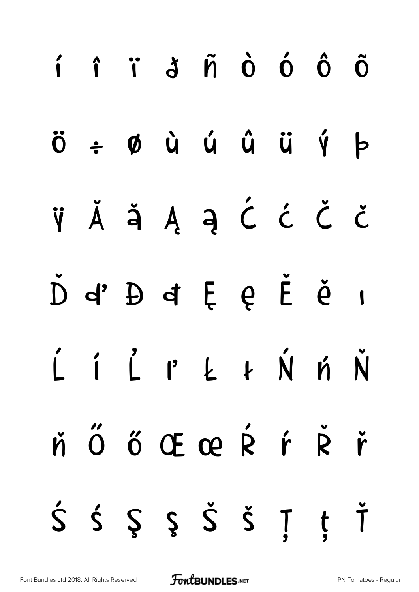|  | í î ï j ñ ò ó ô õ                                                                               |  |  |  |
|--|-------------------------------------------------------------------------------------------------|--|--|--|
|  | $\ddot{o}$ $\div$ $\phi$ $\dot{u}$ $\acute{u}$ $\ddot{u}$ $\ddot{u}$ $\acute{v}$ $\phi$         |  |  |  |
|  | ŸĂĂĄĄĆĆČ                                                                                        |  |  |  |
|  | D'4 D'4 E Q E Q I                                                                               |  |  |  |
|  | LILPLINN                                                                                        |  |  |  |
|  | ř Ő Ő Œ œ Ŕ ŕ Ř ř                                                                               |  |  |  |
|  | $\acute{S}$ $\acute{S}$ $\acute{S}$ $\acute{S}$ $\acute{S}$ $\acute{S}$ $\acute{I}$ $\acute{I}$ |  |  |  |